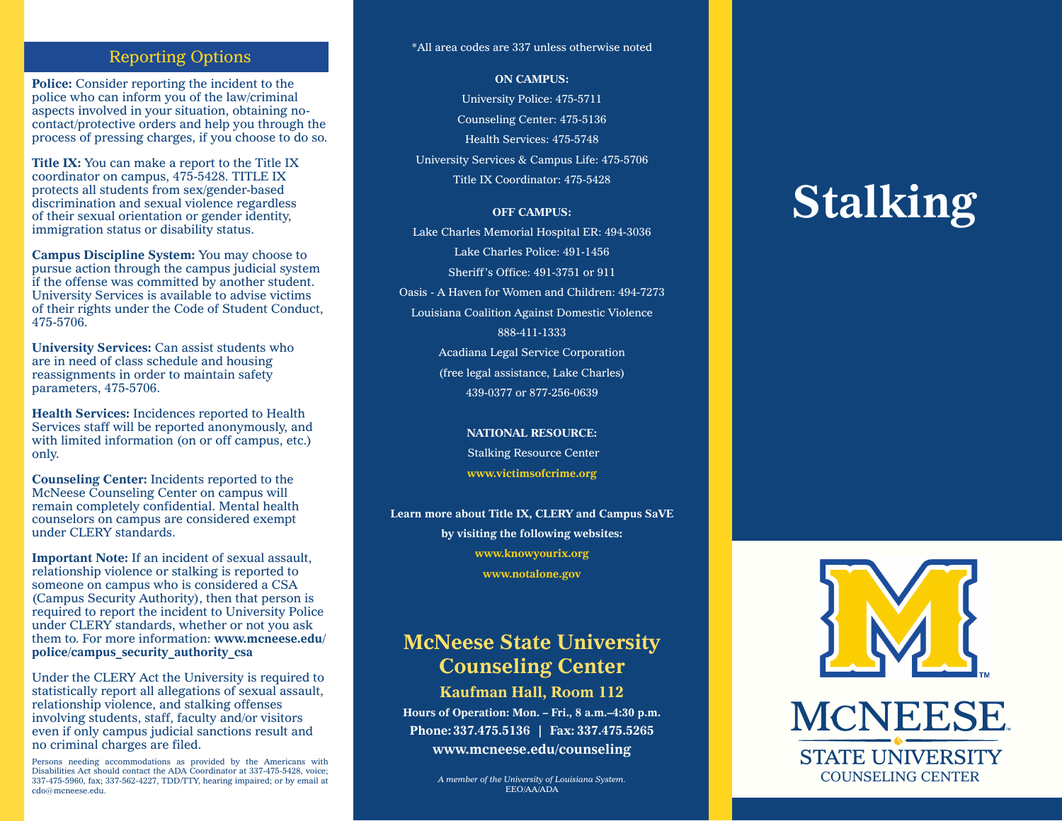# Reporting Options

**Police:** Consider reporting the incident to the police who can inform you of the law/criminal aspects involved in your situation, obtaining nocontact/protective orders and help you through the process of pressing charges, if you choose to do so.

**Title IX:** You can make a report to the Title IX coordinator on campus, 475-5428. TITLE IX protects all students from sex/gender-based discrimination and sexual violence regardless of their sexual orientation or gender identity, immigration status or disability status.

**Campus Discipline System:** You may choose to pursue action through the campus judicial system if the offense was committed by another student. University Services is available to advise victims of their rights under the Code of Student Conduct, 475-5706.

**University Services:** Can assist students who are in need of class schedule and housing reassignments in order to maintain safety parameters, 475-5706.

**Health Services:** Incidences reported to Health Services staff will be reported anonymously, and with limited information (on or off campus, etc.) only.

**Counseling Center:** Incidents reported to the McNeese Counseling Center on campus will remain completely confidential. Mental health counselors on campus are considered exempt under CLERY standards.

**Important Note:** If an incident of sexual assault, relationship violence or stalking is reported to someone on campus who is considered a CSA (Campus Security Authority), then that person is required to report the incident to University Police under CLERY standards, whether or not you ask them to. For more information: **www.mcneese.edu/ police/campus\_security\_authority\_csa**

Under the CLERY Act the University is required to statistically report all allegations of sexual assault, relationship violence, and stalking offenses involving students, staff, faculty and/or visitors even if only campus judicial sanctions result and no criminal charges are filed.

Persons needing accommodations as provided by the Americans with Disabilities Act should contact the ADA Coordinator at 337-475-5428, voice; 337-475-5960, fax; 337-562-4227, TDD/TTY, hearing impaired; or by email at cdo@mcneese.edu.

#### \*All area codes are 337 unless otherwise noted

**ON CAMPUS:**

University Police: 475-5711 Counseling Center: 475-5136 Health Services: 475-5748 University Services & Campus Life: 475-5706 Title IX Coordinator: 475-5428

#### **OFF CAMPUS:**

Lake Charles Memorial Hospital ER: 494-3036 Lake Charles Police: 491-1456 Sheriff's Office: 491-3751 or 911 Oasis - A Haven for Women and Children: 494-7273 Louisiana Coalition Against Domestic Violence 888-411-1333 Acadiana Legal Service Corporation (free legal assistance, Lake Charles) 439-0377 or 877-256-0639

> **NATIONAL RESOURCE:** Stalking Resource Center **www.victimsofcrime.org**

**Learn more about Title IX, CLERY and Campus SaVE by visiting the following websites: www.knowyourix.org www.notalone.gov**

# **McNeese State University Counseling Center**

**Kaufman Hall, Room 112 Hours of Operation: Mon. – Fri., 8 a.m.–4:30 p.m. Phone:337.475.5136 | Fax: 337.475.5265 www.mcneese.edu/counseling**

> *A member of the University of Louisiana System.* EEO/AA/ADA

# **Stalking**



**MCNEESE STATE UNIVERSITY** COUNSELING CENTER